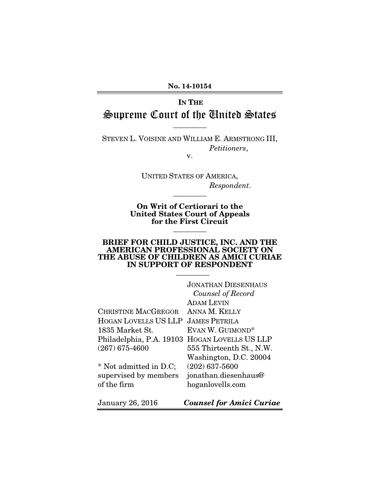#### No. 14-10154

# IN THE Supreme Court of the United States

 $\overline{\phantom{a}}$  ,  $\overline{\phantom{a}}$ 

STEVEN L. VOISINE AND WILLIAM E. ARMSTRONG III, *Petitioners*,

v.

UNITED STATES OF AMERICA, *Respondent*.  $\overline{\phantom{a}}$  ,  $\overline{\phantom{a}}$ 

On Writ of Certiorari to the United States Court of Appeals for the First Circuit  $\overline{\phantom{a}}$  ,  $\overline{\phantom{a}}$ 

#### BRIEF FOR CHILD JUSTICE, INC. AND THE AMERICAN PROFESSIONAL SOCIETY ON THE ABUSE OF CHILDREN AS AMICI CURIAE IN SUPPORT OF RESPONDENT

 $\overline{\phantom{a}}$  ,  $\overline{\phantom{a}}$  ,  $\overline{\phantom{a}}$  ,  $\overline{\phantom{a}}$  ,  $\overline{\phantom{a}}$  ,  $\overline{\phantom{a}}$  ,  $\overline{\phantom{a}}$  ,  $\overline{\phantom{a}}$  ,  $\overline{\phantom{a}}$  ,  $\overline{\phantom{a}}$  ,  $\overline{\phantom{a}}$  ,  $\overline{\phantom{a}}$  ,  $\overline{\phantom{a}}$  ,  $\overline{\phantom{a}}$  ,  $\overline{\phantom{a}}$  ,  $\overline{\phantom{a}}$ 

|                             | <b>JONATHAN DIESENHAUS</b>      |
|-----------------------------|---------------------------------|
|                             | Counsel of Record               |
|                             | <b>ADAM LEVIN</b>               |
| <b>CHRISTINE MACGREGOR</b>  | ANNA M. KELLY                   |
| <b>HOGAN LOVELLS US LLP</b> | <b>JAMES PETRILA</b>            |
| 1835 Market St.             | EVAN W. GUIMOND*                |
| Philadelphia, P.A. 19103    | <b>HOGAN LOVELLS US LLP</b>     |
| $(267)$ 675-4600            | 555 Thirteenth St., N.W.        |
|                             | Washington, D.C. 20004          |
| * Not admitted in D.C;      | $(202)$ 637-5600                |
| supervised by members       | jonathan.diesenhaus@            |
| of the firm                 | hoganlovells.com                |
| <b>January 26, 2016</b>     | <b>Counsel for Amici Curiae</b> |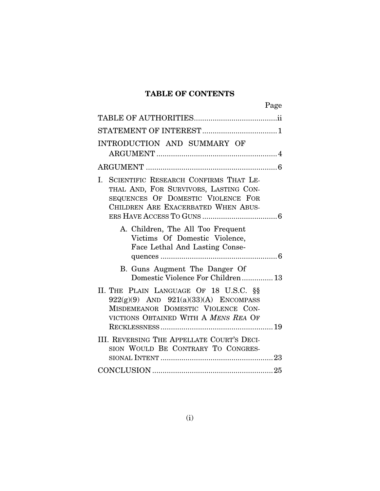### TABLE OF CONTENTS

|                                                                                                                                                                   | Page |
|-------------------------------------------------------------------------------------------------------------------------------------------------------------------|------|
|                                                                                                                                                                   |      |
|                                                                                                                                                                   |      |
| INTRODUCTION AND SUMMARY OF                                                                                                                                       |      |
|                                                                                                                                                                   |      |
| SCIENTIFIC RESEARCH CONFIRMS THAT LE-<br>L.<br>THAL AND, FOR SURVIVORS, LASTING CON-<br>SEQUENCES OF DOMESTIC VIOLENCE FOR<br>CHILDREN ARE EXACERBATED WHEN ABUS- |      |
| A. Children, The All Too Frequent<br>Victims Of Domestic Violence,<br>Face Lethal And Lasting Conse-                                                              |      |
| B. Guns Augment The Danger Of<br>Domestic Violence For Children 13                                                                                                |      |
| II. THE PLAIN LANGUAGE OF 18 U.S.C. §§<br>$922(g)(9)$ AND $921(a)(33)(A)$ ENCOMPASS<br>MISDEMEANOR DOMESTIC VIOLENCE CON-<br>VICTIONS OBTAINED WITH A MENS REA OF |      |
| III. REVERSING THE APPELLATE COURT'S DECI-<br>SION WOULD BE CONTRARY TO CONGRES-                                                                                  |      |
|                                                                                                                                                                   |      |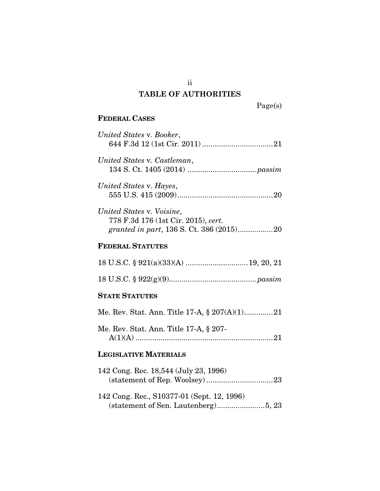### **TABLE OF AUTHORITIES**

Page(s)

### FEDERAL CASES

| United States v. Booker,                                         |
|------------------------------------------------------------------|
| United States v. Castleman,                                      |
| United States v. Hayes,                                          |
| United States v. Voisine,<br>778 F.3d 176 (1st Cir. 2015), cert. |
| <b>FEDERAL STATUTES</b>                                          |
|                                                                  |
|                                                                  |
| <b>STATE STATUTES</b>                                            |
| Me. Rev. Stat. Ann. Title 17-A, § 207(A)(1)21                    |
| Me. Rev. Stat. Ann. Title 17-A, § 207-                           |
| <b>Legislative Materials</b>                                     |

| 142 Cong. Rec. 18,544 (July 23, 1996)      |  |
|--------------------------------------------|--|
|                                            |  |
|                                            |  |
| 142 Cong. Rec., S10377-01 (Sept. 12, 1996) |  |
|                                            |  |

ii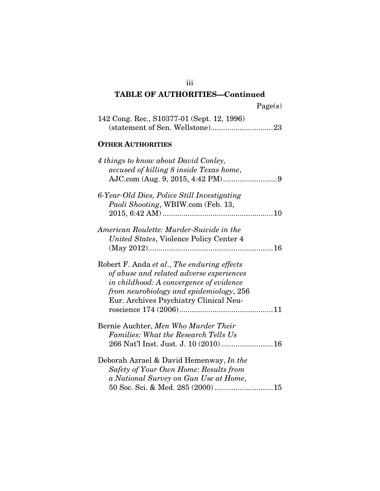| 'age(s) |  |
|---------|--|
|         |  |

| 142 Cong. Rec., S10377-01 (Sept. 12, 1996) |  |
|--------------------------------------------|--|
|                                            |  |

### OTHER AUTHORITIES

| 4 things to know about David Conley,<br>accused of killing 8 inside Texas home,                                                                                                                                         |  |
|-------------------------------------------------------------------------------------------------------------------------------------------------------------------------------------------------------------------------|--|
| 6-Year-Old Dies, Police Still Investigating<br>Paoli Shooting, WBIW.com (Feb. 13,                                                                                                                                       |  |
| American Roulette: Murder-Suicide in the<br>United States, Violence Policy Center 4                                                                                                                                     |  |
| Robert F. Anda et al., The enduring effects<br>of abuse and related adverse experiences<br>in childhood: A convergence of evidence<br>from neurobiology and epidemiology, 256<br>Eur. Archives Psychiatry Clinical Neu- |  |
| Bernie Auchter, Men Who Murder Their<br><b>Families: What the Research Tells Us</b>                                                                                                                                     |  |
| Deborah Azrael & David Hemenway, In the<br>Safety of Your Own Home: Results from<br>a National Survey on Gun Use at Home,<br>50 Soc. Sci. & Med. 285 (2000)  15                                                         |  |

iii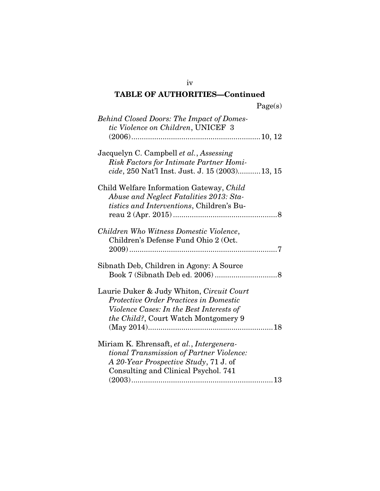| <b>Behind Closed Doors: The Impact of Domes-</b><br>tic Violence on Children, UNICEF 3                                                                                  |  |
|-------------------------------------------------------------------------------------------------------------------------------------------------------------------------|--|
| Jacquelyn C. Campbell et al., Assessing<br>Risk Factors for Intimate Partner Homi-<br>cide, 250 Nat'l Inst. Just. J. 15 (2003) 13, 15                                   |  |
| Child Welfare Information Gateway, Child<br>Abuse and Neglect Fatalities 2013: Sta-<br>tistics and Interventions, Children's Bu-                                        |  |
| Children Who Witness Domestic Violence,<br>Children's Defense Fund Ohio 2 (Oct.                                                                                         |  |
| Sibnath Deb, Children in Agony: A Source                                                                                                                                |  |
| Laurie Duker & Judy Whiton, Circuit Court<br>Protective Order Practices in Domestic<br>Violence Cases: In the Best Interests of<br>the Child?, Court Watch Montgomery 9 |  |
| Miriam K. Ehrensaft, et al., Intergenera-<br>tional Transmission of Partner Violence:<br>A 20-Year Prospective Study, 71 J. of<br>Consulting and Clinical Psychol. 741  |  |
|                                                                                                                                                                         |  |

iv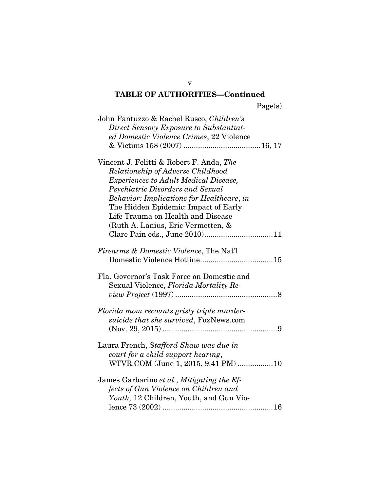| John Fantuzzo & Rachel Rusco, Children's           |  |
|----------------------------------------------------|--|
| Direct Sensory Exposure to Substantiat-            |  |
| ed Domestic Violence Crimes, 22 Violence           |  |
|                                                    |  |
|                                                    |  |
| Vincent J. Felitti & Robert F. Anda, The           |  |
| Relationship of Adverse Childhood                  |  |
| <i>Experiences to Adult Medical Disease,</i>       |  |
|                                                    |  |
| Psychiatric Disorders and Sexual                   |  |
| <b>Behavior:</b> Implications for Healthcare, in   |  |
| The Hidden Epidemic: Impact of Early               |  |
| Life Trauma on Health and Disease                  |  |
| (Ruth A. Lanius, Eric Vermetten, &                 |  |
|                                                    |  |
|                                                    |  |
| <i>Firearms &amp; Domestic Violence, The Nat'l</i> |  |
|                                                    |  |
|                                                    |  |
| Fla. Governor's Task Force on Domestic and         |  |
| Sexual Violence, Florida Mortality Re-             |  |
|                                                    |  |
|                                                    |  |
| Florida mom recounts grisly triple murder-         |  |
| suicide that she survived, FoxNews.com             |  |
|                                                    |  |
|                                                    |  |
| Laura French, Stafford Shaw was due in             |  |
| court for a child support hearing,                 |  |
| WTVR.COM (June 1, 2015, 9:41 PM) 10                |  |
|                                                    |  |
| James Garbarino et al., Mitigating the Ef-         |  |
| fects of Gun Violence on Children and              |  |
|                                                    |  |
| Youth, 12 Children, Youth, and Gun Vio-            |  |
|                                                    |  |

v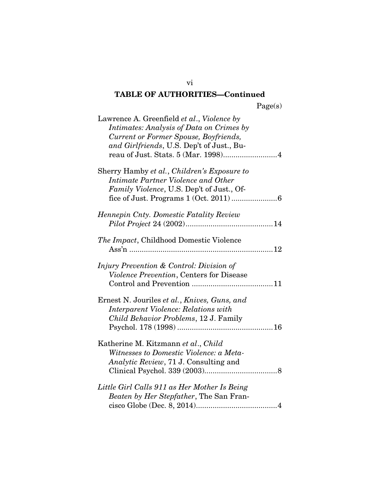| Lawrence A. Greenfield et al., Violence by<br>Intimates: Analysis of Data on Crimes by<br>Current or Former Spouse, Boyfriends,<br>and Girlfriends, U.S. Dep't of Just., Bu-<br>reau of Just. Stats. 5 (Mar. 1998)4 |  |
|---------------------------------------------------------------------------------------------------------------------------------------------------------------------------------------------------------------------|--|
| Sherry Hamby et al., Children's Exposure to<br>Intimate Partner Violence and Other<br><i>Family Violence</i> , U.S. Dep't of Just., Of-                                                                             |  |
| Hennepin Cnty. Domestic Fatality Review                                                                                                                                                                             |  |
| The Impact, Childhood Domestic Violence                                                                                                                                                                             |  |
| Injury Prevention & Control: Division of<br>Violence Prevention, Centers for Disease                                                                                                                                |  |
| Ernest N. Jouriles et al., Knives, Guns, and<br>Interparent Violence: Relations with<br>Child Behavior Problems, 12 J. Family                                                                                       |  |
| Katherine M. Kitzmann et al., Child<br>Witnesses to Domestic Violence: a Meta-<br>Analytic Review, 71 J. Consulting and                                                                                             |  |
| Little Girl Calls 911 as Her Mother Is Being<br>Beaten by Her Stepfather, The San Fran-                                                                                                                             |  |

vi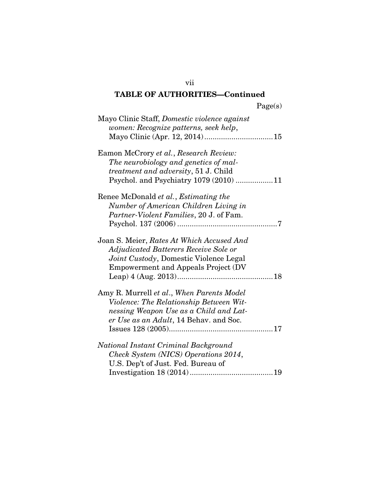vii

| Mayo Clinic Staff, Domestic violence against<br>women: Recognize patterns, seek help,                                                                                       |  |
|-----------------------------------------------------------------------------------------------------------------------------------------------------------------------------|--|
| Eamon McCrory et al., Research Review:<br>The neurobiology and genetics of mal-<br><i>treatment and adversity</i> , 51 J. Child<br>Psychol. and Psychiatry 1079 (2010) 11   |  |
| Renee McDonald et al., Estimating the<br>Number of American Children Living in<br>Partner-Violent Families, 20 J. of Fam.                                                   |  |
| Joan S. Meier, Rates At Which Accused And<br>Adjudicated Batterers Receive Sole or<br>Joint Custody, Domestic Violence Legal<br><b>Empowerment and Appeals Project (DV)</b> |  |
| Amy R. Murrell et al., When Parents Model<br>Violence: The Relationship Between Wit-<br>nessing Weapon Use as a Child and Lat-<br>er Use as an Adult, 14 Behav. and Soc.    |  |
| National Instant Criminal Background<br>Check System (NICS) Operations 2014,<br>U.S. Dep't of Just. Fed. Bureau of                                                          |  |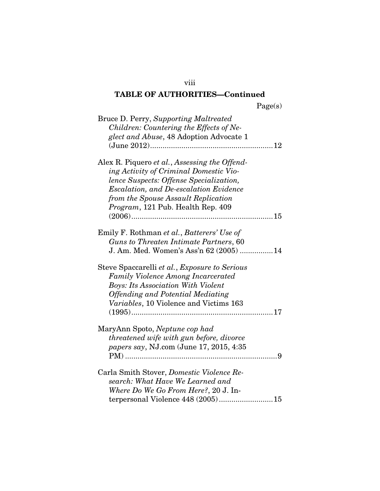| aget.<br>s |
|------------|
|------------|

| Bruce D. Perry, Supporting Maltreated<br>Children: Countering the Effects of Ne-<br>glect and Abuse, 48 Adoption Advocate 1                                                                                                                                     |
|-----------------------------------------------------------------------------------------------------------------------------------------------------------------------------------------------------------------------------------------------------------------|
| Alex R. Piquero et al., Assessing the Offend-<br>ing Activity of Criminal Domestic Vio-<br>lence Suspects: Offense Specialization,<br><b>Escalation, and De-escalation Evidence</b><br>from the Spouse Assault Replication<br>Program, 121 Pub. Health Rep. 409 |
| Emily F. Rothman et al., Batterers' Use of<br>Guns to Threaten Intimate Partners, 60<br>J. Am. Med. Women's Ass'n 62 (2005) 14                                                                                                                                  |
| Steve Spaccarelli et al., Exposure to Serious<br><b>Family Violence Among Incarcerated</b><br><b>Boys: Its Association With Violent</b><br><b>Offending and Potential Mediating</b><br>Variables, 10 Violence and Victims 163                                   |
| MaryAnn Spoto, Neptune cop had<br>threatened wife with gun before, divorce<br>papers say, NJ.com (June 17, 2015, 4:35                                                                                                                                           |
| Carla Smith Stover, Domestic Violence Re-<br>search: What Have We Learned and<br>Where Do We Go From Here?, 20 J. In-<br>terpersonal Violence 448 (2005)15                                                                                                      |

viii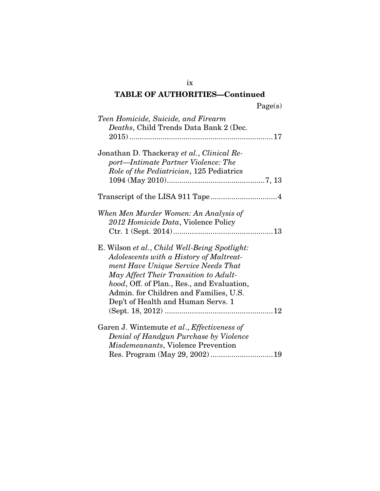ix

| Teen Homicide, Suicide, and Firearm<br><i>Deaths</i> , Child Trends Data Bank 2 (Dec.                                                                                                                                                                                                                  |
|--------------------------------------------------------------------------------------------------------------------------------------------------------------------------------------------------------------------------------------------------------------------------------------------------------|
| Jonathan D. Thackeray et al., Clinical Re-<br>port-Intimate Partner Violence: The<br>Role of the Pediatrician, 125 Pediatrics                                                                                                                                                                          |
|                                                                                                                                                                                                                                                                                                        |
| When Men Murder Women: An Analysis of<br>2012 Homicide Data, Violence Policy                                                                                                                                                                                                                           |
| E. Wilson et al., Child Well-Being Spotlight:<br>Adolescents with a History of Maltreat-<br>ment Have Unique Service Needs That<br>May Affect Their Transition to Adult-<br>hood, Off. of Plan., Res., and Evaluation,<br>Admin. for Children and Families, U.S.<br>Dep't of Health and Human Servs. 1 |
| Garen J. Wintemute et al., Effectiveness of<br>Denial of Handgun Purchase by Violence<br>Misdemeanants, Violence Prevention                                                                                                                                                                            |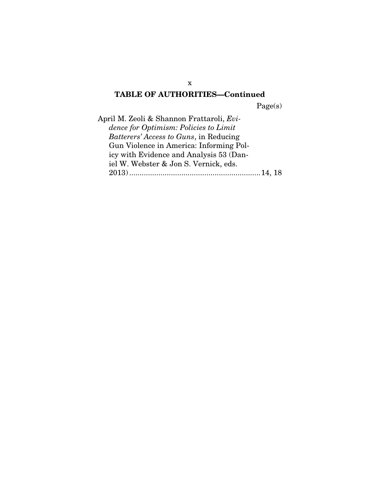Page(s)

April M. Zeoli & Shannon Frattaroli, *Evidence for Optimism: Policies to Limit Batterers' Access to Guns*, in Reducing Gun Violence in America: Informing Policy with Evidence and Analysis 53 (Daniel W. Webster & Jon S. Vernick, eds. 2013) ...............................................................14, 18

x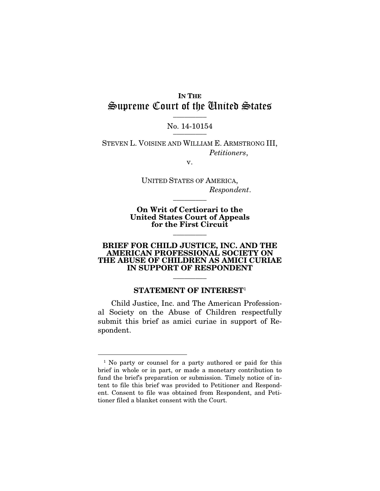### IN THE Supreme Court of the United States  $\frac{1}{\sqrt{2}}$

#### No. 14-10154 \_\_\_\_\_\_\_\_\_

STEVEN L. VOISINE AND WILLIAM E. ARMSTRONG III, *Petitioners*,

v.

UNITED STATES OF AMERICA, *Respondent*.

On Writ of Certiorari to the United States Court of Appeals for the First Circuit

 $\overline{\phantom{a}}$  ,  $\overline{\phantom{a}}$ 

 $\overline{\phantom{a}}$  , where  $\overline{\phantom{a}}$ 

#### BRIEF FOR CHILD JUSTICE, INC. AND THE AMERICAN PROFESSIONAL SOCIETY ON THE ABUSE OF CHILDREN AS AMICI CURIAE IN SUPPORT OF RESPONDENT

#### STATEMENT OF INTEREST<sup>1</sup>

 $\overline{\phantom{a}}$  ,  $\overline{\phantom{a}}$ 

Child Justice, Inc. and The American Professional Society on the Abuse of Children respectfully submit this brief as amici curiae in support of Respondent.

<sup>&</sup>lt;sup>1</sup> No party or counsel for a party authored or paid for this brief in whole or in part, or made a monetary contribution to fund the brief's preparation or submission. Timely notice of intent to file this brief was provided to Petitioner and Respondent. Consent to file was obtained from Respondent, and Petitioner filed a blanket consent with the Court.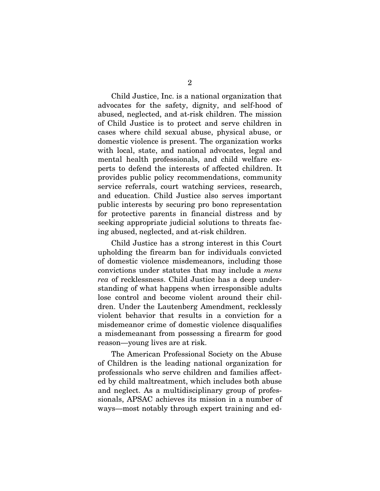Child Justice, Inc. is a national organization that advocates for the safety, dignity, and self-hood of abused, neglected, and at-risk children. The mission of Child Justice is to protect and serve children in cases where child sexual abuse, physical abuse, or domestic violence is present. The organization works with local, state, and national advocates, legal and mental health professionals, and child welfare experts to defend the interests of affected children. It provides public policy recommendations, community service referrals, court watching services, research, and education. Child Justice also serves important public interests by securing pro bono representation for protective parents in financial distress and by seeking appropriate judicial solutions to threats facing abused, neglected, and at-risk children.

Child Justice has a strong interest in this Court upholding the firearm ban for individuals convicted of domestic violence misdemeanors, including those convictions under statutes that may include a *mens rea* of recklessness. Child Justice has a deep understanding of what happens when irresponsible adults lose control and become violent around their children. Under the Lautenberg Amendment, recklessly violent behavior that results in a conviction for a misdemeanor crime of domestic violence disqualifies a misdemeanant from possessing a firearm for good reason—young lives are at risk.

The American Professional Society on the Abuse of Children is the leading national organization for professionals who serve children and families affected by child maltreatment, which includes both abuse and neglect. As a multidisciplinary group of professionals, APSAC achieves its mission in a number of ways—most notably through expert training and ed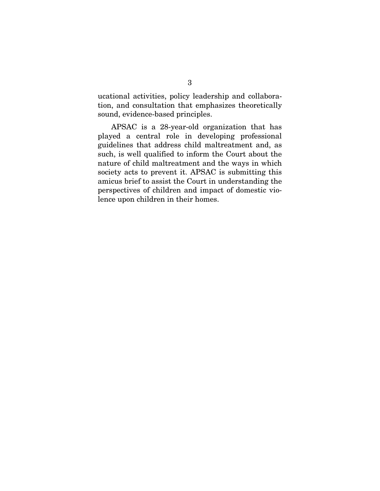ucational activities, policy leadership and collaboration, and consultation that emphasizes theoretically sound, evidence-based principles.

APSAC is a 28-year-old organization that has played a central role in developing professional guidelines that address child maltreatment and, as such, is well qualified to inform the Court about the nature of child maltreatment and the ways in which society acts to prevent it. APSAC is submitting this amicus brief to assist the Court in understanding the perspectives of children and impact of domestic violence upon children in their homes.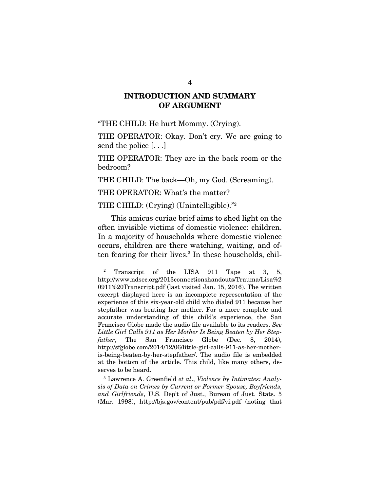### INTRODUCTION AND SUMMARY OF ARGUMENT

"THE CHILD: He hurt Mommy. (Crying).

THE OPERATOR: Okay. Don't cry. We are going to send the police [. . .]

THE OPERATOR: They are in the back room or the bedroom?

THE CHILD: The back—Oh, my God. (Screaming).

THE OPERATOR: What's the matter?

THE CHILD: (Crying) (Unintelligible)."<sup>2</sup>

This amicus curiae brief aims to shed light on the often invisible victims of domestic violence: children. In a majority of households where domestic violence occurs, children are there watching, waiting, and often fearing for their lives.<sup>3</sup> In these households, chil-

<sup>&</sup>lt;sup>2</sup> Transcript of the LISA  $911$  Tape at 3, 5, http://www.ndsec.org/2013connectionshandouts/Trauma/Lisa%2 0911%20Transcript.pdf (last visited Jan. 15, 2016). The written excerpt displayed here is an incomplete representation of the experience of this six-year-old child who dialed 911 because her stepfather was beating her mother. For a more complete and accurate understanding of this child's experience, the San Francisco Globe made the audio file available to its readers. *See Little Girl Calls 911 as Her Mother Is Being Beaten by Her Stepfather*, The San Francisco Globe (Dec. 8, 2014), http://sfglobe.com/2014/12/06/little-girl-calls-911-as-her-motheris-being-beaten-by-her-stepfather/. The audio file is embedded at the bottom of the article. This child, like many others, deserves to be heard.

<sup>3</sup> Lawrence A. Greenfield *et al*., *Violence by Intimates: Analysis of Data on Crimes by Current or Former Spouse, Boyfriends, and Girlfriends*, U.S. Dep't of Just., Bureau of Just. Stats. 5 (Mar. 1998), http://bjs.gov/content/pub/pdf/vi.pdf (noting that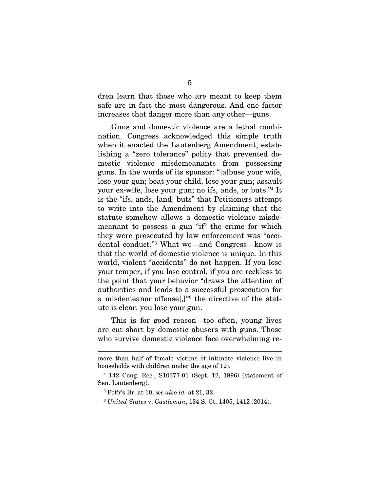dren learn that those who are meant to keep them safe are in fact the most dangerous. And one factor increases that danger more than any other—guns.

Guns and domestic violence are a lethal combination. Congress acknowledged this simple truth when it enacted the Lautenberg Amendment, establishing a "zero tolerance" policy that prevented domestic violence misdemeanants from possessing guns. In the words of its sponsor: "[a]buse your wife, lose your gun; beat your child, lose your gun; assault your ex-wife, lose your gun; no ifs, ands, or buts."<sup>4</sup> It is the "ifs, ands, [and] buts" that Petitioners attempt to write into the Amendment by claiming that the statute somehow allows a domestic violence misdemeanant to possess a gun "if" the crime for which they were prosecuted by law enforcement was "accidental conduct."<sup>5</sup> What we—and Congress—know is that the world of domestic violence is unique. In this world, violent "accidents" do not happen. If you lose your temper, if you lose control, if you are reckless to the point that your behavior "draws the attention of authorities and leads to a successful prosecution for a misdemeanor offense[,]"<sup>6</sup> the directive of the statute is clear: you lose your gun.

This is for good reason—too often, young lives are cut short by domestic abusers with guns. Those who survive domestic violence face overwhelming re-

more than half of female victims of intimate violence live in households with children under the age of 12).

<sup>4</sup> 142 Cong. Rec., S10377-01 (Sept. 12, 1996) (statement of Sen. Lautenberg).

<sup>5</sup> Pet'r's Br. at 10; *see also id.* at 21, 32.

<sup>6</sup> *United States* v. *Castleman*, 134 S. Ct. 1405, 1412 (2014).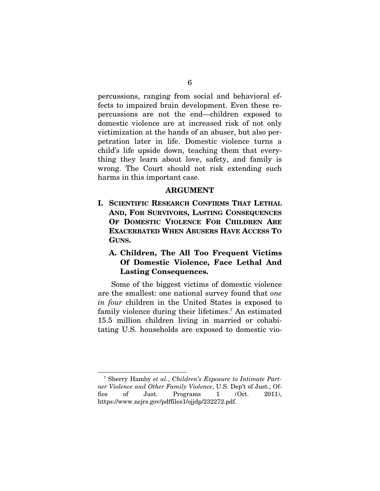percussions, ranging from social and behavioral effects to impaired brain development. Even these repercussions are not the end—children exposed to domestic violence are at increased risk of not only victimization at the hands of an abuser, but also perpetration later in life. Domestic violence turns a child's life upside down, teaching them that everything they learn about love, safety, and family is wrong. The Court should not risk extending such harms in this important case.

#### ARGUMENT

I. SCIENTIFIC RESEARCH CONFIRMS THAT LETHAL AND, FOR SURVIVORS, LASTING CONSEQUENCES OF DOMESTIC VIOLENCE FOR CHILDREN ARE EXACERBATED WHEN ABUSERS HAVE ACCESS TO GUNS.

### A. Children, The All Too Frequent Victims Of Domestic Violence, Face Lethal And Lasting Consequences.

Some of the biggest victims of domestic violence are the smallest: one national survey found that *one in four* children in the United States is exposed to family violence during their lifetimes.<sup>7</sup> An estimated 15.5 million children living in married or cohabitating U.S. households are exposed to domestic vio-

<sup>7</sup> Sherry Hamby *et al.*, *Children's Exposure to Intimate Partner Violence and Other Family Violence*, U.S. Dep't of Just., Office of Just. Programs 1 (Oct. 2011). https://www.ncjrs.gov/pdffiles1/ojjdp/232272.pdf.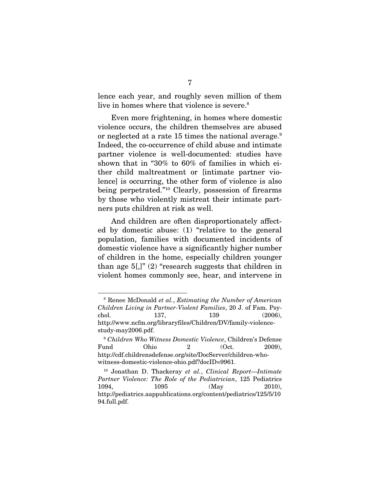lence each year, and roughly seven million of them live in homes where that violence is severe.<sup>8</sup>

Even more frightening, in homes where domestic violence occurs, the children themselves are abused or neglected at a rate 15 times the national average.<sup>9</sup> Indeed, the co-occurrence of child abuse and intimate partner violence is well-documented: studies have shown that in "30% to 60% of families in which either child maltreatment or [intimate partner violence] is occurring, the other form of violence is also being perpetrated."<sup>10</sup> Clearly, possession of firearms by those who violently mistreat their intimate partners puts children at risk as well.

And children are often disproportionately affected by domestic abuse: (1) "relative to the general population, families with documented incidents of domestic violence have a significantly higher number of children in the home, especially children younger than age  $5$ [,]" (2) "research suggests that children in violent homes commonly see, hear, and intervene in

<sup>8</sup> Renee McDonald *et al.*, *Estimating the Number of American Children Living in Partner-Violent Families*, 20 J. of Fam. Psychol. 137, 139 (2006), http://www.ncfm.org/libraryfiles/Children/DV/family-violencestudy-may2006.pdf.

<sup>9</sup> *Children Who Witness Domestic Violence*, Children's Defense  $\text{Fund}$  Ohio 2 (Oct. 2009), http://cdf.childrensdefense.org/site/DocServer/children-whowitness-domestic-violence-ohio.pdf?docID=9961.

<sup>10</sup> Jonathan D. Thackeray *et al.*, *Clinical Report*—*Intimate Partner Violence: The Role of the Pediatrician*, 125 Pediatrics 1094, 1095 (May 2010), http://pediatrics.aappublications.org/content/pediatrics/125/5/10 94.full.pdf.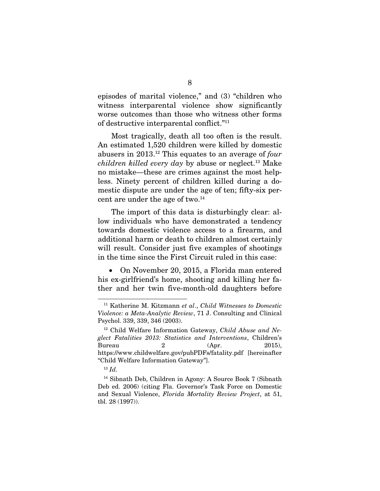episodes of marital violence," and (3) "children who witness interparental violence show significantly worse outcomes than those who witness other forms of destructive interparental conflict."<sup>11</sup>

Most tragically, death all too often is the result. An estimated 1,520 children were killed by domestic abusers in 2013.<sup>12</sup> This equates to an average of *four children killed every day* by abuse or neglect.<sup>13</sup> Make no mistake—these are crimes against the most helpless. Ninety percent of children killed during a domestic dispute are under the age of ten; fifty-six percent are under the age of two.<sup>14</sup>

The import of this data is disturbingly clear: allow individuals who have demonstrated a tendency towards domestic violence access to a firearm, and additional harm or death to children almost certainly will result. Consider just five examples of shootings in the time since the First Circuit ruled in this case:

• On November 20, 2015, a Florida man entered his ex-girlfriend's home, shooting and killing her father and her twin five-month-old daughters before

<sup>11</sup> Katherine M. Kitzmann *et al*., *Child Witnesses to Domestic Violence: a Meta-Analytic Review*, 71 J. Consulting and Clinical Psychol. 339, 339, 346 (2003).

<sup>12</sup> Child Welfare Information Gateway, *Child Abuse and Neglect Fatalities 2013: Statistics and Interventions*, Children's Bureau  $2$   $\qquad \qquad$   $(Apr.$   $2015)$ , https://www.childwelfare.gov/pubPDFs/fatality.pdf [hereinafter "Child Welfare Information Gateway"].

<sup>13</sup> *Id.*

<sup>14</sup> Sibnath Deb, Children in Agony: A Source Book 7 (Sibnath Deb ed. 2006) (citing Fla. Governor's Task Force on Domestic and Sexual Violence, *Florida Mortality Review Project*, at 51, tbl. 28 (1997)).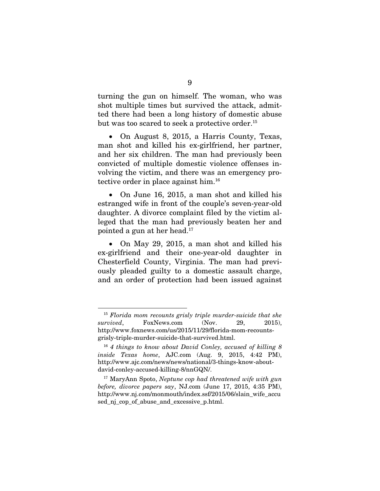turning the gun on himself. The woman, who was shot multiple times but survived the attack, admitted there had been a long history of domestic abuse but was too scared to seek a protective order.<sup>15</sup>

• On August 8, 2015, a Harris County, Texas, man shot and killed his ex-girlfriend, her partner, and her six children. The man had previously been convicted of multiple domestic violence offenses involving the victim, and there was an emergency protective order in place against him.<sup>16</sup>

• On June 16, 2015, a man shot and killed his estranged wife in front of the couple's seven-year-old daughter. A divorce complaint filed by the victim alleged that the man had previously beaten her and pointed a gun at her head.<sup>17</sup>

• On May 29, 2015, a man shot and killed his ex-girlfriend and their one-year-old daughter in Chesterfield County, Virginia. The man had previously pleaded guilty to a domestic assault charge, and an order of protection had been issued against

<sup>15</sup> *Florida mom recounts grisly triple murder-suicide that she survived*, FoxNews.com (Nov. 29, 2015), http://www.foxnews.com/us/2015/11/29/florida-mom-recountsgrisly-triple-murder-suicide-that-survived.html.

<sup>16</sup> *4 things to know about David Conley, accused of killing 8 inside Texas home*, AJC.com (Aug. 9, 2015, 4:42 PM), http://www.ajc.com/news/news/national/3-things-know-aboutdavid-conley-accused-killing-8/nnGQN/.

<sup>17</sup> MaryAnn Spoto, *Neptune cop had threatened wife with gun before, divorce papers say*, NJ.com (June 17, 2015, 4:35 PM), http://www.nj.com/monmouth/index.ssf/2015/06/slain\_wife\_accu sed\_nj\_cop\_of\_abuse\_and\_excessive\_p.html.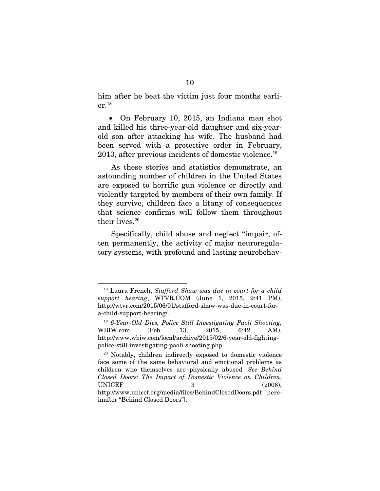him after he beat the victim just four months earlier.<sup>18</sup>

 On February 10, 2015, an Indiana man shot and killed his three-year-old daughter and six-yearold son after attacking his wife. The husband had been served with a protective order in February, 2013, after previous incidents of domestic violence.<sup>19</sup>

As these stories and statistics demonstrate, an astounding number of children in the United States are exposed to horrific gun violence or directly and violently targeted by members of their own family. If they survive, children face a litany of consequences that science confirms will follow them throughout their lives.<sup>20</sup>

Specifically, child abuse and neglect "impair, often permanently, the activity of major neuroregulatory systems, with profound and lasting neurobehav-

<sup>18</sup> Laura French, *Stafford Shaw was due in court for a child support hearing*, WTVR.COM (June 1, 2015, 9:41 PM), http://wtvr.com/2015/06/01/stafford-shaw-was-due-in-court-fora-child-support-hearing/.

<sup>19</sup> *6-Year-Old Dies, Police Still Investigating Paoli Shooting,* WBIW.com (Feb. 13, 2015, 6:42 AM), http://www.wbiw.com/local/archive/2015/02/6-year-old-fightingpolice-still-investigating-paoli-shooting.php.

<sup>20</sup> Notably, children indirectly exposed to domestic violence face some of the same behavioral and emotional problems as children who themselves are physically abused. *See Behind Closed Doors: The Impact of Domestic Violence on Children*, UNICEF 3 (2006). http://www.unicef.org/media/files/BehindClosedDoors.pdf [hereinafter "Behind Closed Doors"].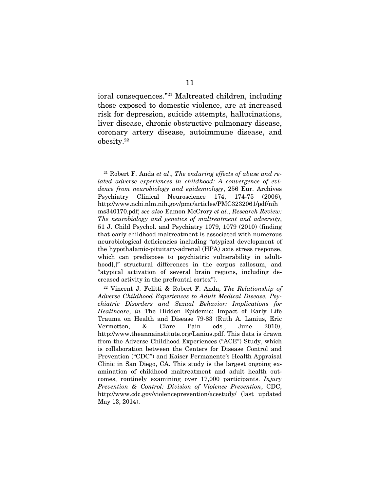ioral consequences."<sup>21</sup> Maltreated children, including those exposed to domestic violence, are at increased risk for depression, suicide attempts, hallucinations, liver disease, chronic obstructive pulmonary disease, coronary artery disease, autoimmune disease, and obesity.<sup>22</sup>

<sup>21</sup> Robert F. Anda *et al*., *The enduring effects of abuse and related adverse experiences in childhood: A convergence of evidence from neurobiology and epidemiology*, 256 Eur. Archives Psychiatry Clinical Neuroscience 174, 174-75 (2006), http://www.ncbi.nlm.nih.gov/pmc/articles/PMC3232061/pdf/nih ms340170.pdf; *see also* Eamon McCrory *et al.*, *Research Review: The neurobiology and genetics of maltreatment and adversity*, 51 J. Child Psychol. and Psychiatry 1079, 1079 (2010) (finding that early childhood maltreatment is associated with numerous neurobiological deficiencies including "atypical development of the hypothalamic-pituitary-adrenal (HPA) axis stress response, which can predispose to psychiatric vulnerability in adulthood[,]" structural differences in the corpus callosum, and "atypical activation of several brain regions, including decreased activity in the prefrontal cortex").

<sup>22</sup> Vincent J. Felitti & Robert F. Anda, *The Relationship of Adverse Childhood Experiences to Adult Medical Disease, Psychiatric Disorders and Sexual Behavior: Implications for Healthcare*, *in* The Hidden Epidemic: Impact of Early Life Trauma on Health and Disease 79-83 (Ruth A. Lanius, Eric Vermetten, & Clare Pain eds., June 2010), http://www.theannainstitute.org/Lanius.pdf. This data is drawn from the Adverse Childhood Experiences ("ACE") Study, which is collaboration between the Centers for Disease Control and Prevention ("CDC") and Kaiser Permanente's Health Appraisal Clinic in San Diego, CA. This study is the largest ongoing examination of childhood maltreatment and adult health outcomes, routinely examining over 17,000 participants. *Injury Prevention & Control: Division of Violence Prevention*, CDC, http://www.cdc.gov/violenceprevention/acestudy/ (last updated May 13, 2014).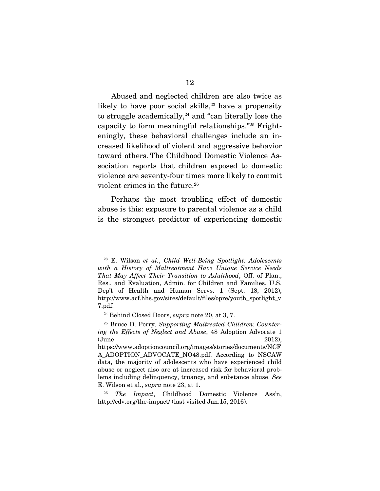Abused and neglected children are also twice as likely to have poor social skills, $23$  have a propensity to struggle academically, $24$  and "can literally lose the capacity to form meaningful relationships."<sup>25</sup> Frighteningly, these behavioral challenges include an increased likelihood of violent and aggressive behavior toward others. The Childhood Domestic Violence Association reports that children exposed to domestic violence are seventy-four times more likely to commit violent crimes in the future.<sup>26</sup>

Perhaps the most troubling effect of domestic abuse is this: exposure to parental violence as a child is the strongest predictor of experiencing domestic

<sup>23</sup> E. Wilson *et al.*, *Child Well-Being Spotlight: Adolescents with a History of Maltreatment Have Unique Service Needs That May Affect Their Transition to Adulthood*, Off. of Plan., Res., and Evaluation, Admin. for Children and Families, U.S. Dep't of Health and Human Servs. 1 (Sept. 18, 2012), http://www.acf.hhs.gov/sites/default/files/opre/youth\_spotlight\_v 7.pdf.

<sup>24</sup> Behind Closed Doors, *supra* note 20, at 3, 7.

<sup>25</sup> Bruce D. Perry, *Supporting Maltreated Children: Countering the Effects of Neglect and Abuse*, 48 Adoption Advocate 1  $\omega($ June  $2012$ ), https://www.adoptioncouncil.org/images/stories/documents/NCF

A\_ADOPTION\_ADVOCATE\_NO48.pdf. According to NSCAW data, the majority of adolescents who have experienced child abuse or neglect also are at increased risk for behavioral problems including delinquency, truancy, and substance abuse. *See* E. Wilson et al., *supra* note 23, at 1.

<sup>26</sup> *The Impact*, Childhood Domestic Violence Ass'n, http://cdv.org/the-impact/ (last visited Jan.15, 2016).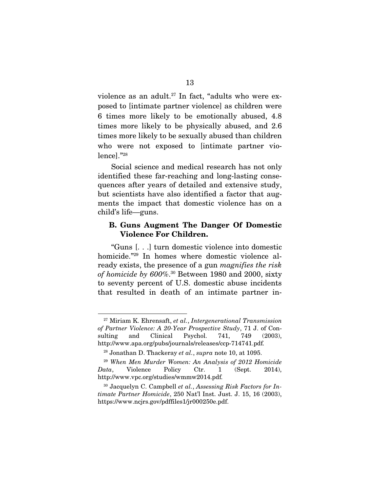violence as an adult.<sup>27</sup> In fact, "adults who were exposed to [intimate partner violence] as children were 6 times more likely to be emotionally abused, 4.8 times more likely to be physically abused, and 2.6 times more likely to be sexually abused than children who were not exposed to [intimate partner violence]."<sup>28</sup>

Social science and medical research has not only identified these far-reaching and long-lasting consequences after years of detailed and extensive study, but scientists have also identified a factor that augments the impact that domestic violence has on a child's life—guns.

#### B. Guns Augment The Danger Of Domestic Violence For Children.

"Guns [. . .] turn domestic violence into domestic homicide."<sup>29</sup> In homes where domestic violence already exists, the presence of a gun *magnifies the risk of homicide by 600%*. <sup>30</sup> Between 1980 and 2000, sixty to seventy percent of U.S. domestic abuse incidents that resulted in death of an intimate partner in-

<sup>27</sup> Miriam K. Ehrensaft, *et al.*, *Intergenerational Transmission of Partner Violence: A 20-Year Prospective Study*, 71 J. of Consulting and Clinical Psychol. 741, 749 (2003), http://www.apa.org/pubs/journals/releases/ccp-714741.pdf*.*

<sup>28</sup> Jonathan D. Thackeray *et al.*, *supra* note 10, at 1095.

<sup>29</sup> *When Men Murder Women: An Analysis of 2012 Homicide Data*, Violence Policy Ctr. 1 (Sept. 2014), http://www.vpc.org/studies/wmmw2014.pdf*.*

<sup>30</sup> Jacquelyn C. Campbell *et al.*, *Assessing Risk Factors for Intimate Partner Homicide*, 250 Nat'l Inst. Just. J. 15, 16 (2003), https://www.ncjrs.gov/pdffiles1/jr000250e.pdf.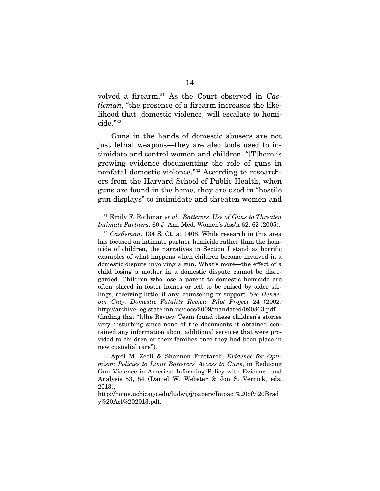volved a firearm.<sup>31</sup> As the Court observed in *Castleman*, "the presence of a firearm increases the likelihood that [domestic violence] will escalate to homicide."<sup>32</sup>

Guns in the hands of domestic abusers are not just lethal weapons—they are also tools used to intimidate and control women and children. "[T]here is growing evidence documenting the role of guns in nonfatal domestic violence."<sup>33</sup> According to researchers from the Harvard School of Public Health, when guns are found in the home, they are used in "hostile gun displays" to intimidate and threaten women and

<sup>31</sup> Emily F. Rothman *et al.*, *Batterers' Use of Guns to Threaten Intimate Partners*, 60 J. Am. Med. Women's Ass'n 62, 62 (2005).

<sup>32</sup> *Castleman*, 134 S. Ct. at 1408. While research in this area has focused on intimate partner homicide rather than the homicide of children, the narratives in Section I stand as horrific examples of what happens when children become involved in a domestic dispute involving a gun. What's more—the effect of a child losing a mother in a domestic dispute cannot be disregarded. Children who lose a parent to domestic homicide are often placed in foster homes or left to be raised by older siblings, receiving little, if any, counseling or support. *See Hennepin Cnty. Domestic Fatality Review Pilot Project* 24 (2002) http://archive.leg.state.mn.us/docs/2009/mandated/090863.pdf (finding that "[t]he Review Team found these children's stories very disturbing since none of the documents it obtained contained any information about additional services that were provided to children or their families once they had been place in new custodial care").

<sup>33</sup> April M. Zeoli & Shannon Frattaroli, *Evidence for Optimism: Policies to Limit Batterers' Access to Guns*, in Reducing Gun Violence in America: Informing Policy with Evidence and Analysis 53, 54 (Daniel W. Webster & Jon S. Vernick, eds. 2013),

http://home.uchicago.edu/ludwigj/papers/Impact%20of%20Brad y%20Act%202013.pdf.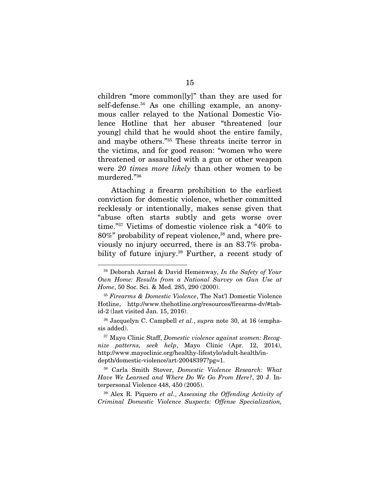children "more common[ly]" than they are used for self-defense.<sup>34</sup> As one chilling example, an anonymous caller relayed to the National Domestic Violence Hotline that her abuser "threatened [our young] child that he would shoot the entire family, and maybe others."<sup>35</sup> These threats incite terror in the victims, and for good reason: "women who were threatened or assaulted with a gun or other weapon were *20 times more likely* than other women to be murdered."<sup>36</sup>

Attaching a firearm prohibition to the earliest conviction for domestic violence, whether committed recklessly or intentionally, makes sense given that "abuse often starts subtly and gets worse over time."<sup>37</sup> Victims of domestic violence risk a "40% to  $80\%$ " probability of repeat violence,<sup>38</sup> and, where previously no injury occurred, there is an 83.7% probability of future injury.<sup>39</sup> Further, a recent study of

<sup>34</sup> Deborah Azrael & David Hemenway, *In the Safety of Your Own Home: Results from a National Survey on Gun Use at Home*, 50 Soc. Sci. & Med. 285, 290 (2000).

<sup>35</sup> *Firearms & Domestic Violence*, The Nat'l Domestic Violence Hotline, http://www.thehotline.org/resources/firearms-dv/#tabid-2 (last visited Jan. 15, 2016).

<sup>36</sup> Jacquelyn C. Campbell *et al.*, *supra* note 30, at 16 (emphasis added).

<sup>37</sup> Mayo Clinic Staff, *Domestic violence against women: Recognize patterns, seek help*, Mayo Clinic (Apr. 12, 2014), http://www.mayoclinic.org/healthy-lifestyle/adult-health/indepth/domestic-violence/art-20048397?pg=1.

<sup>38</sup> Carla Smith Stover, *Domestic Violence Research: What Have We Learned and Where Do We Go From Here?*, 20 J. Interpersonal Violence 448, 450 (2005).

<sup>39</sup> Alex R. Piquero *et al.*, *Assessing the Offending Activity of Criminal Domestic Violence Suspects: Offense Specialization,*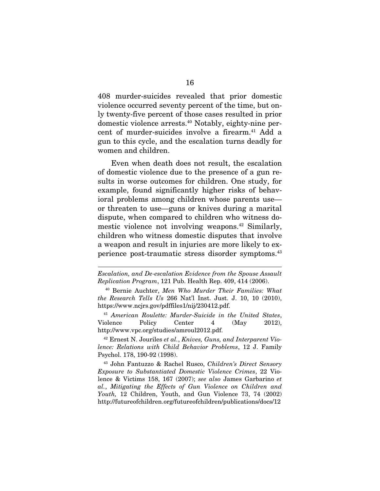408 murder-suicides revealed that prior domestic violence occurred seventy percent of the time, but only twenty-five percent of those cases resulted in prior domestic violence arrests.<sup>40</sup> Notably, eighty-nine percent of murder-suicides involve a firearm.<sup>41</sup> Add a gun to this cycle, and the escalation turns deadly for women and children.

Even when death does not result, the escalation of domestic violence due to the presence of a gun results in worse outcomes for children. One study, for example, found significantly higher risks of behavioral problems among children whose parents use or threaten to use—guns or knives during a marital dispute, when compared to children who witness domestic violence not involving weapons.<sup>42</sup> Similarly, children who witness domestic disputes that involve a weapon and result in injuries are more likely to experience post-traumatic stress disorder symptoms.<sup>43</sup>

*Escalation, and De-escalation Evidence from the Spouse Assault Replication Program*, 121 Pub. Health Rep. 409, 414 (2006).

<sup>40</sup> Bernie Auchter, *Men Who Murder Their Families: What the Research Tells Us* 266 Nat'l Inst. Just. J. 10, 10 (2010), https://www.ncjrs.gov/pdffiles1/nij/230412.pdf.

<sup>41</sup> *American Roulette: Murder-Suicide in the United States*, Violence Policy Center 4 (May 2012), http://www.vpc.org/studies/amroul2012.pdf.

<sup>42</sup> Ernest N. Jouriles *et al.*, *Knives, Guns, and Interparent Violence: Relations with Child Behavior Problems*, 12 J. Family Psychol. 178, 190-92 (1998).

<sup>43</sup> John Fantuzzo & Rachel Rusco, *Children's Direct Sensory Exposure to Substantiated Domestic Violence Crimes*, 22 Violence & Victims 158, 167 (2007); *see also* James Garbarino *et al.*, *Mitigating the Effects of Gun Violence on Children and Youth,* 12 Children, Youth, and Gun Violence 73, 74 (2002) http://futureofchildren.org/futureofchildren/publications/docs/12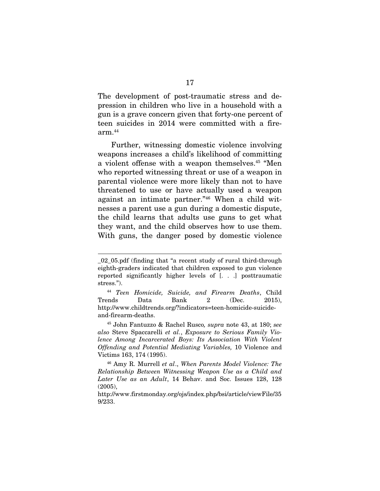The development of post-traumatic stress and depression in children who live in a household with a gun is a grave concern given that forty-one percent of teen suicides in 2014 were committed with a fire $arm.<sup>44</sup>$ 

Further, witnessing domestic violence involving weapons increases a child's likelihood of committing a violent offense with a weapon themselves.<sup>45</sup> "Men who reported witnessing threat or use of a weapon in parental violence were more likely than not to have threatened to use or have actually used a weapon against an intimate partner."<sup>46</sup> When a child witnesses a parent use a gun during a domestic dispute, the child learns that adults use guns to get what they want, and the child observes how to use them. With guns, the danger posed by domestic violence

<sup>45</sup> John Fantuzzo & Rachel Rusco*, supra* note 43, at 180; *see also* Steve Spaccarelli *et al.*, *Exposure to Serious Family Violence Among Incarcerated Boys: Its Association With Violent Offending and Potential Mediating Variables,* 10 Violence and Victims 163, 174 (1995).

\_02\_05.pdf (finding that "a recent study of rural third-through eighth-graders indicated that children exposed to gun violence reported significantly higher levels of [. . .] posttraumatic stress.").

<sup>44</sup> *Teen Homicide, Suicide, and Firearm Deaths*, Child Trends Data Bank 2 (Dec. 2015), http://www.childtrends.org/?indicators=teen-homicide-suicideand-firearm-deaths.

<sup>46</sup> Amy R. Murrell *et al*., *When Parents Model Violence: The Relationship Between Witnessing Weapon Use as a Child and Later Use as an Adult*, 14 Behav. and Soc. Issues 128, 128 (2005),

http://www.firstmonday.org/ojs/index.php/bsi/article/viewFile/35 9/233.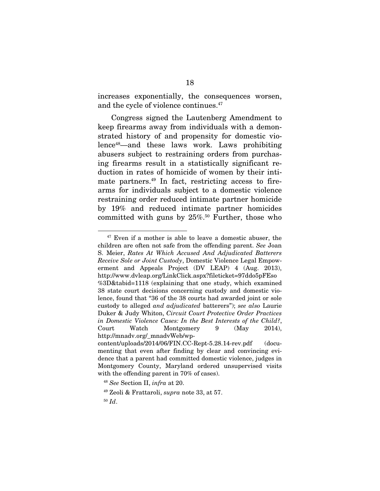increases exponentially, the consequences worsen, and the cycle of violence continues.<sup>47</sup>

Congress signed the Lautenberg Amendment to keep firearms away from individuals with a demonstrated history of and propensity for domestic violence<sup>48</sup>—and these laws work. Laws prohibiting abusers subject to restraining orders from purchasing firearms result in a statistically significant reduction in rates of homicide of women by their intimate partners.<sup>49</sup> In fact, restricting access to firearms for individuals subject to a domestic violence restraining order reduced intimate partner homicide by 19% and reduced intimate partner homicides committed with guns by  $25\%$ .<sup>50</sup> Further, those who

 $47$  Even if a mother is able to leave a domestic abuser, the children are often not safe from the offending parent. *See* Joan S. Meier, *Rates At Which Accused And Adjudicated Batterers Receive Sole or Joint Custody*, Domestic Violence Legal Empowerment and Appeals Project (DV LEAP) 4 (Aug. 2013), http://www.dvleap.org/LinkClick.aspx?fileticket=97ddo5pFEso %3D&tabid=1118 (explaining that one study, which examined 38 state court decisions concerning custody and domestic violence, found that "36 of the 38 courts had awarded joint or sole custody to alleged *and adjudicated* batterers"); *see also* Laurie Duker & Judy Whiton, *Circuit Court Protective Order Practices in Domestic Violence Cases: In the Best Interests of the Child?*, Court Watch Montgomery 9 (May 2014), http://mnadv.org/\_mnadvWeb/wp-

content/uploads/2014/06/FIN.CC-Rept-5.28.14-rev.pdf (documenting that even after finding by clear and convincing evidence that a parent had committed domestic violence, judges in Montgomery County, Maryland ordered unsupervised visits with the offending parent in 70% of cases).

<sup>48</sup> *See* Section II, *infra* at 20.

<sup>49</sup> Zeoli & Frattaroli, *supra* note 33, at 57.

<sup>50</sup> *Id*.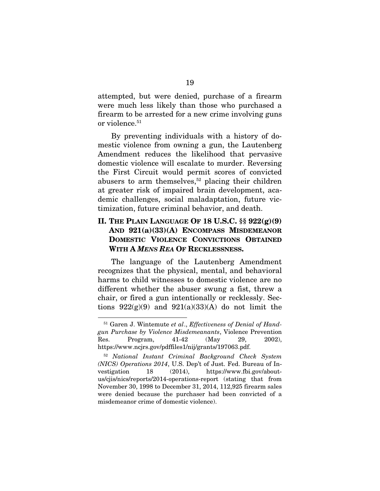attempted, but were denied, purchase of a firearm were much less likely than those who purchased a firearm to be arrested for a new crime involving guns or violence.<sup>51</sup>

By preventing individuals with a history of domestic violence from owning a gun, the Lautenberg Amendment reduces the likelihood that pervasive domestic violence will escalate to murder. Reversing the First Circuit would permit scores of convicted abusers to arm themselves,<sup>52</sup> placing their children at greater risk of impaired brain development, academic challenges, social maladaptation, future victimization, future criminal behavior, and death.

### II. THE PLAIN LANGUAGE OF 18 U.S.C. §§ 922(g)(9) AND 921(a)(33)(A) ENCOMPASS MISDEMEANOR DOMESTIC VIOLENCE CONVICTIONS OBTAINED WITH A *MENS REA* OF RECKLESSNESS.

The language of the Lautenberg Amendment recognizes that the physical, mental, and behavioral harms to child witnesses to domestic violence are no different whether the abuser swung a fist, threw a chair, or fired a gun intentionally or recklessly. Sections  $922(g)(9)$  and  $921(a)(33)(A)$  do not limit the

<sup>51</sup> Garen J. Wintemute *et al*., *Effectiveness of Denial of Handgun Purchase by Violence Misdemeanants*, Violence Prevention Res. Program, 41-42 (May 29, 2002), https://www.ncjrs.gov/pdffiles1/nij/grants/197063.pdf.

<sup>52</sup> *National Instant Criminal Background Check System (NICS) Operations 2014*, U.S. Dep't of Just. Fed. Bureau of Investigation 18 (2014), https://www.fbi.gov/aboutus/cjis/nics/reports/2014-operations-report (stating that from November 30, 1998 to December 31, 2014, 112,925 firearm sales were denied because the purchaser had been convicted of a misdemeanor crime of domestic violence).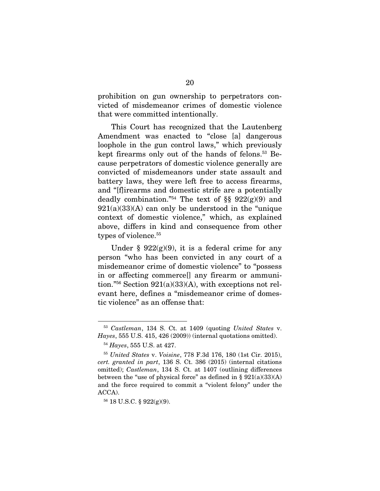prohibition on gun ownership to perpetrators convicted of misdemeanor crimes of domestic violence that were committed intentionally.

This Court has recognized that the Lautenberg Amendment was enacted to "close [a] dangerous loophole in the gun control laws," which previously kept firearms only out of the hands of felons.<sup>53</sup> Because perpetrators of domestic violence generally are convicted of misdemeanors under state assault and battery laws, they were left free to access firearms, and "[f]irearms and domestic strife are a potentially deadly combination."<sup>54</sup> The text of §§  $922(g)(9)$  and  $921(a)(33)(A)$  can only be understood in the "unique" context of domestic violence," which, as explained above, differs in kind and consequence from other types of violence.<sup>55</sup>

Under §  $922(g)(9)$ , it is a federal crime for any person "who has been convicted in any court of a misdemeanor crime of domestic violence" to "possess in or affecting commerce[] any firearm or ammunition."<sup>56</sup> Section 921(a)(33)(A), with exceptions not relevant here, defines a "misdemeanor crime of domestic violence" as an offense that:

<sup>56</sup> 18 U.S.C. § 922(g)(9).

<sup>53</sup> *Castleman*, 134 S. Ct. at 1409 (quoting *United States* v. *Hayes*, 555 U.S. 415, 426 (2009)) (internal quotations omitted).

<sup>54</sup> *Hayes*, 555 U.S. at 427.

<sup>55</sup> *United States* v. *Voisine*, 778 F.3d 176, 180 (1st Cir. 2015), *cert. granted in part*, 136 S. Ct. 386 (2015) (internal citations omitted); *Castleman*, 134 S. Ct. at 1407 (outlining differences between the "use of physical force" as defined in  $\S 921(a)(33)(A)$ and the force required to commit a "violent felony" under the ACCA).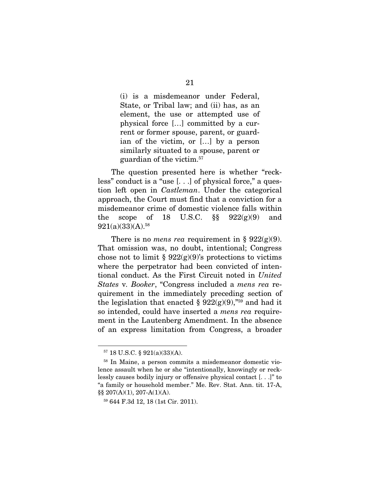(i) is a misdemeanor under Federal, State, or Tribal law; and (ii) has, as an element, the use or attempted use of physical force […] committed by a current or former spouse, parent, or guardian of the victim, or […] by a person similarly situated to a spouse, parent or guardian of the victim.<sup>57</sup>

The question presented here is whether "reckless" conduct is a "use [. . .] of physical force," a question left open in *Castleman*. Under the categorical approach, the Court must find that a conviction for a misdemeanor crime of domestic violence falls within the scope of 18 U.S.C.  $\S$  922(g)(9) and  $921(a)(33)(A).$ <sup>58</sup>

There is no *mens rea* requirement in §  $922(g)(9)$ . That omission was, no doubt, intentional; Congress chose not to limit §  $922(g)(9)$ 's protections to victims where the perpetrator had been convicted of intentional conduct. As the First Circuit noted in *United States* v*. Booker*, "Congress included a *mens rea* requirement in the immediately preceding section of the legislation that enacted §  $922(g)(9)$ ,"<sup>59</sup> and had it so intended, could have inserted a *mens rea* requirement in the Lautenberg Amendment. In the absence of an express limitation from Congress, a broader

<sup>57</sup> 18 U.S.C. § 921(a)(33)(A).

<sup>58</sup> In Maine, a person commits a misdemeanor domestic violence assault when he or she "intentionally, knowingly or recklessly causes bodily injury or offensive physical contact [. . .]" to "a family or household member." Me. Rev. Stat. Ann. tit. 17-A, §§ 207(A)(1), 207-A(1)(A).

<sup>59</sup> 644 F.3d 12, 18 (1st Cir. 2011).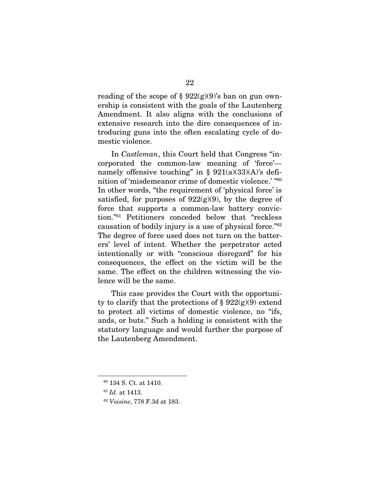reading of the scope of  $\S 922(g)(9)$ 's ban on gun ownership is consistent with the goals of the Lautenberg Amendment. It also aligns with the conclusions of extensive research into the dire consequences of introducing guns into the often escalating cycle of domestic violence.

In *Castleman*, this Court held that Congress "incorporated the common-law meaning of 'force' namely offensive touching" in  $\S 921(a)(33)(A)$ 's definition of 'misdemeanor crime of domestic violence.' "<sup>60</sup> In other words, "the requirement of 'physical force' is satisfied, for purposes of  $922(g)(9)$ , by the degree of force that supports a common-law battery conviction."<sup>61</sup> Petitioners conceded below that "reckless causation of bodily injury is a use of physical force."<sup>62</sup> The degree of force used does not turn on the batterers' level of intent. Whether the perpetrator acted intentionally or with "conscious disregard" for his consequences, the effect on the victim will be the same. The effect on the children witnessing the violence will be the same.

This case provides the Court with the opportunity to clarify that the protections of  $\S 922(g)(9)$  extend to protect all victims of domestic violence, no "ifs, ands, or buts." Such a holding is consistent with the statutory language and would further the purpose of the Lautenberg Amendment.

<sup>60</sup> 134 S. Ct. at 1410.

<sup>61</sup> *Id.* at 1413.

<sup>62</sup> *Voisine*, 778 F.3d at 183.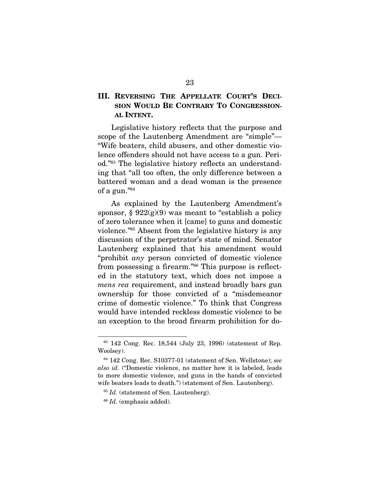### III. REVERSING THE APPELLATE COURT'S DECI-SION WOULD BE CONTRARY TO CONGRESSION-AL INTENT.

Legislative history reflects that the purpose and scope of the Lautenberg Amendment are "simple"— "Wife beaters, child abusers, and other domestic violence offenders should not have access to a gun. Period."<sup>63</sup> The legislative history reflects an understanding that "all too often, the only difference between a battered woman and a dead woman is the presence of a gun."<sup>64</sup>

As explained by the Lautenberg Amendment's sponsor,  $\S 922(g)(9)$  was meant to "establish a policy of zero tolerance when it [came] to guns and domestic violence."<sup>65</sup> Absent from the legislative history is any discussion of the perpetrator's state of mind. Senator Lautenberg explained that his amendment would "prohibit *any* person convicted of domestic violence from possessing a firearm."<sup>66</sup> This purpose is reflected in the statutory text, which does not impose a *mens rea* requirement, and instead broadly bars gun ownership for those convicted of a "misdemeanor crime of domestic violence." To think that Congress would have intended reckless domestic violence to be an exception to the broad firearm prohibition for do-

<sup>63</sup> 142 Cong. Rec. 18,544 (July 23, 1996) (statement of Rep. Woolsey).

<sup>64</sup> 142 Cong. Rec. S10377-01 (statement of Sen. Wellstone); *see also id.* ("Domestic violence, no matter how it is labeled, leads to more domestic violence, and guns in the hands of convicted wife beaters leads to death.") (statement of Sen. Lautenberg).

<sup>&</sup>lt;sup>65</sup> *Id.* (statement of Sen. Lautenberg).

<sup>66</sup> *Id.* (emphasis added).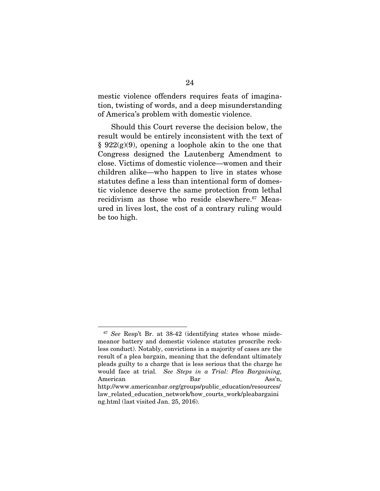mestic violence offenders requires feats of imagination, twisting of words, and a deep misunderstanding of America's problem with domestic violence.

Should this Court reverse the decision below, the result would be entirely inconsistent with the text of  $§ 922(g)(9)$ , opening a loophole akin to the one that Congress designed the Lautenberg Amendment to close. Victims of domestic violence—women and their children alike—who happen to live in states whose statutes define a less than intentional form of domestic violence deserve the same protection from lethal recidivism as those who reside elsewhere.<sup>67</sup> Measured in lives lost, the cost of a contrary ruling would be too high.

<sup>67</sup> *See* Resp't Br. at 38-42 (identifying states whose misdemeanor battery and domestic violence statutes proscribe reckless conduct). Notably, convictions in a majority of cases are the result of a plea bargain, meaning that the defendant ultimately pleads guilty to a charge that is less serious that the charge he would face at trial. *See Steps in a Trial: Plea Bargaining,* American Bar Ass'n, http://www.americanbar.org/groups/public\_education/resources/ law related education network/how courts work/pleabargaini ng.html (last visited Jan. 25, 2016).